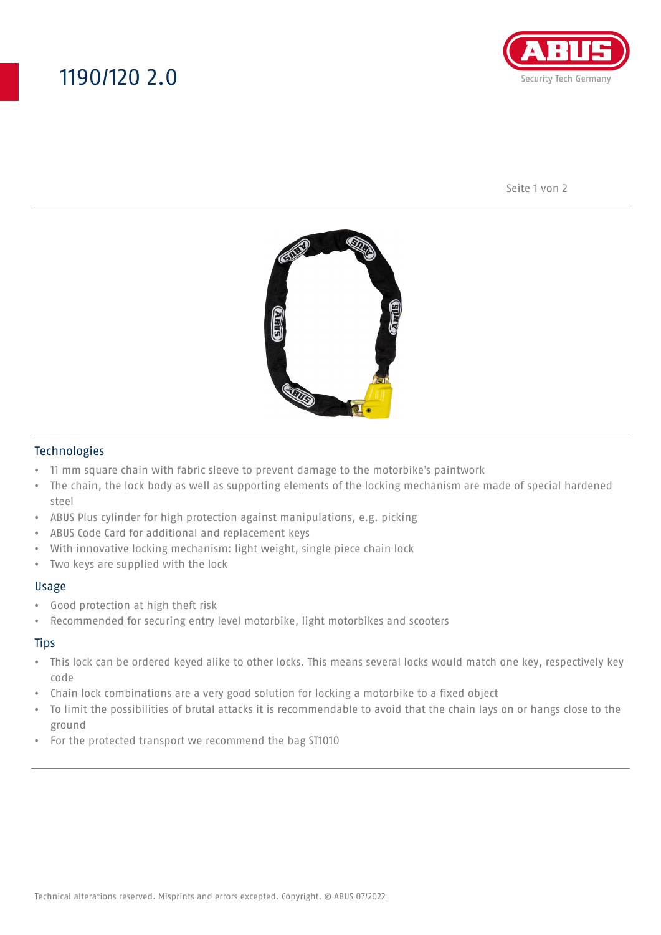## 1190/120 2.0



Seite 1 von 2



#### Technologies

- 11 mm square chain with fabric sleeve to prevent damage to the motorbike's paintwork
- The chain, the lock body as well as supporting elements of the locking mechanism are made of special hardened steel
- ABUS Plus cylinder for high protection against manipulations, e.g. picking
- ABUS Code Card for additional and replacement keys
- With innovative locking mechanism: light weight, single piece chain lock
- Two keys are supplied with the lock

#### Usage

- Good protection at high theft risk
- Recommended for securing entry level motorbike, light motorbikes and scooters

#### **Tips**

- This lock can be ordered keyed alike to other locks. This means several locks would match one key, respectively key code
- Chain lock combinations are a very good solution for locking a motorbike to a fixed object
- To limit the possibilities of brutal attacks it is recommendable to avoid that the chain lays on or hangs close to the ground
- For the protected transport we recommend the bag ST1010